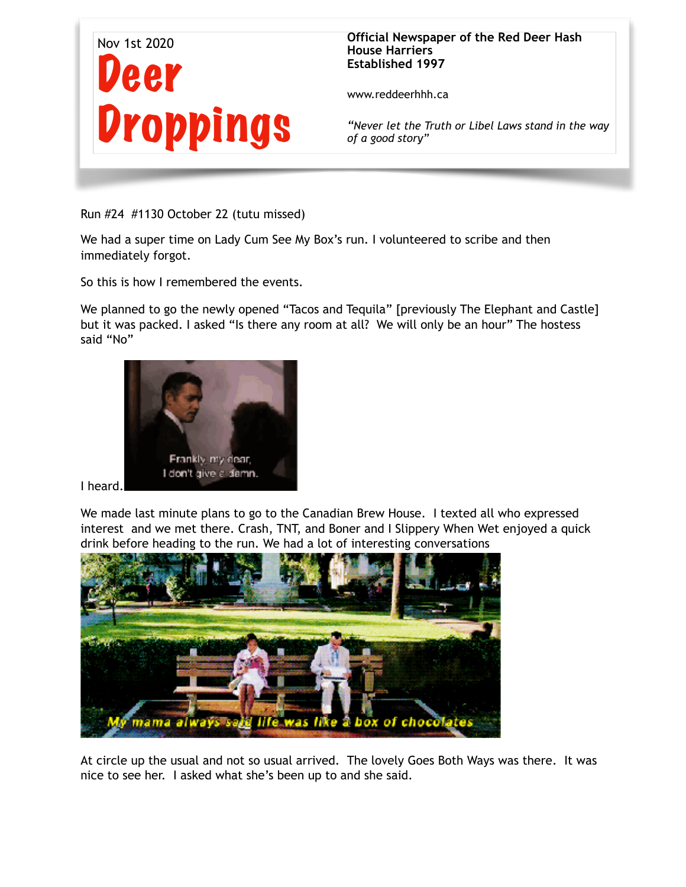

Run #24 #1130 October 22 (tutu missed)

We had a super time on Lady Cum See My Box's run. I volunteered to scribe and then immediately forgot.

So this is how I remembered the events.

We planned to go the newly opened "Tacos and Tequila" [previously The Elephant and Castle] but it was packed. I asked "Is there any room at all? We will only be an hour" The hostess said "No"



I heard.

We made last minute plans to go to the Canadian Brew House. I texted all who expressed interest and we met there. Crash, TNT, and Boner and I Slippery When Wet enjoyed a quick drink before heading to the run. We had a lot of interesting conversations



At circle up the usual and not so usual arrived. The lovely Goes Both Ways was there. It was nice to see her. I asked what she's been up to and she said.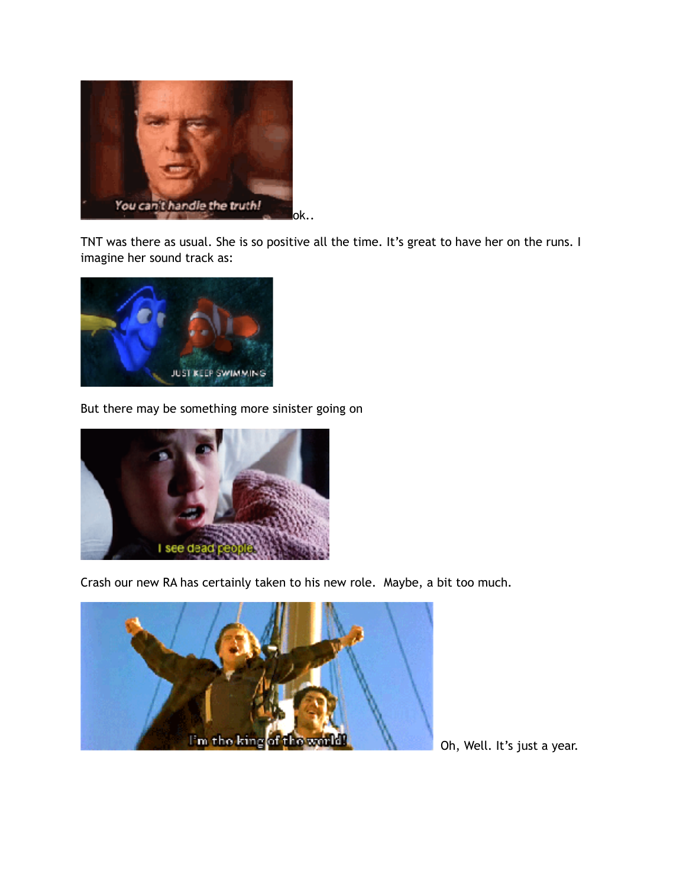

TNT was there as usual. She is so positive all the time. It's great to have her on the runs. I imagine her sound track as:



But there may be something more sinister going on



Crash our new RA has certainly taken to his new role. Maybe, a bit too much.



Oh, Well. It's just a year.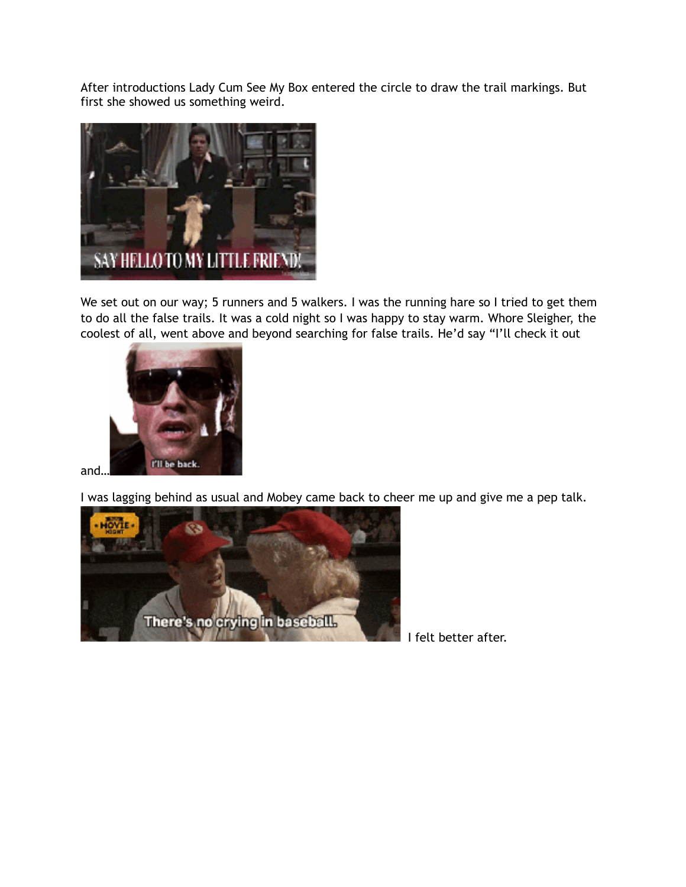After introductions Lady Cum See My Box entered the circle to draw the trail markings. But first she showed us something weird.



We set out on our way; 5 runners and 5 walkers. I was the running hare so I tried to get them to do all the false trails. It was a cold night so I was happy to stay warm. Whore Sleigher, the coolest of all, went above and beyond searching for false trails. He'd say "I'll check it out



and…

I was lagging behind as usual and Mobey came back to cheer me up and give me a pep talk.



I felt better after.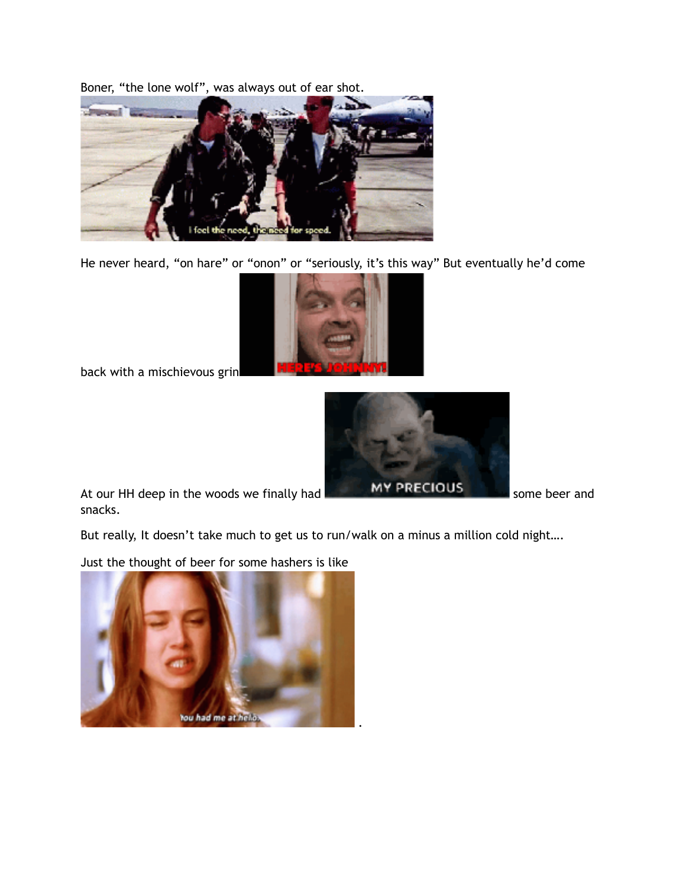Boner, "the lone wolf", was always out of ear shot.



He never heard, "on hare" or "onon" or "seriously, it's this way" But eventually he'd come



back with a mischievous grin



At our HH deep in the woods we finally had **NOT ANY PRECIQUS** some beer and snacks.

But really, It doesn't take much to get us to run/walk on a minus a million cold night….

Just the thought of beer for some hashers is like

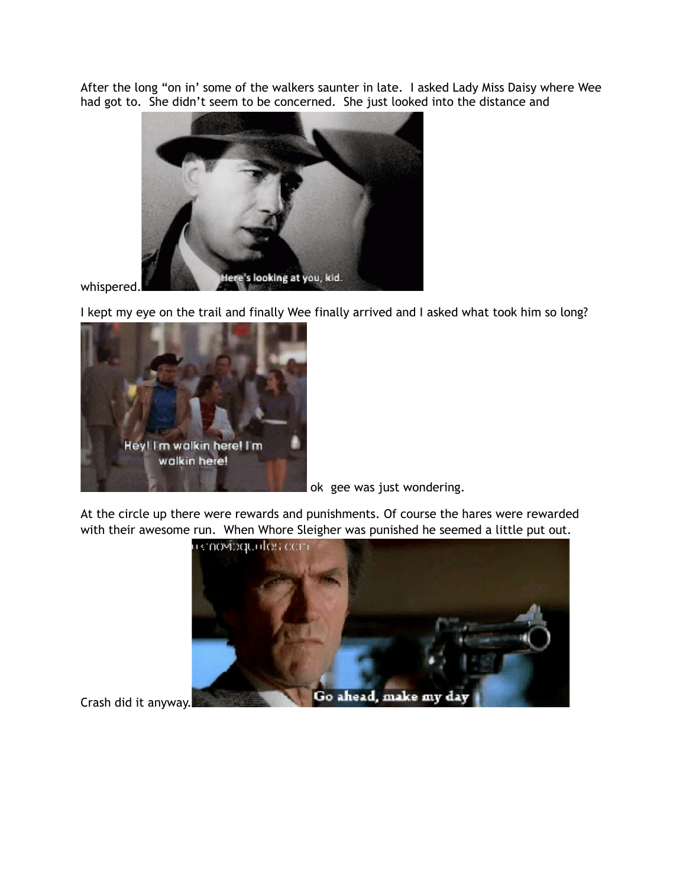After the long "on in' some of the walkers saunter in late. I asked Lady Miss Daisy where Wee had got to. She didn't seem to be concerned. She just looked into the distance and



## whispered.

I kept my eye on the trail and finally Wee finally arrived and I asked what took him so long?



ok gee was just wondering.

At the circle up there were rewards and punishments. Of course the hares were rewarded with their awesome run. When Whore Sleigher was punished he seemed a little put out.



Crash did it anyway.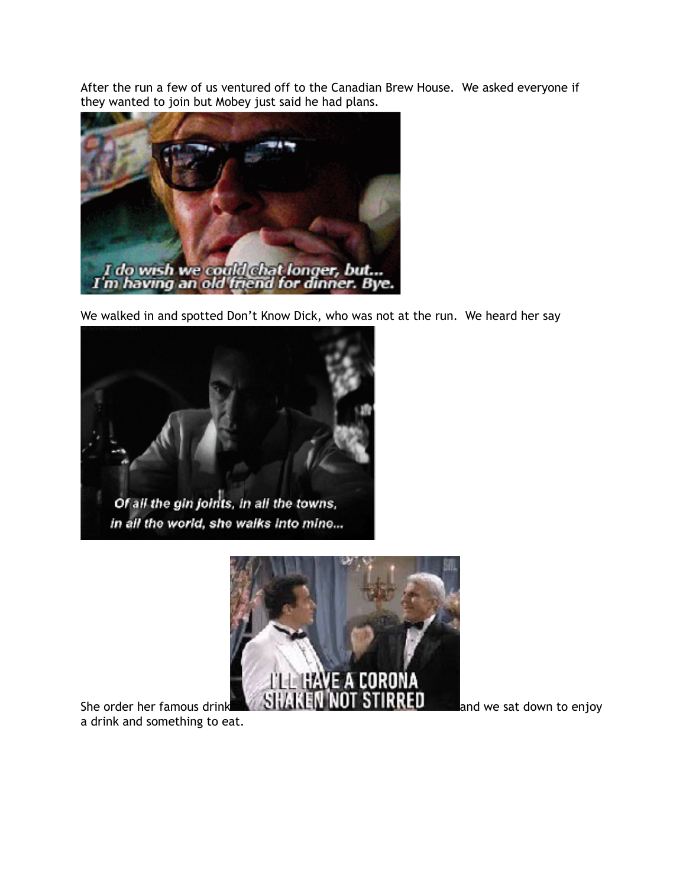After the run a few of us ventured off to the Canadian Brew House. We asked everyone if they wanted to join but Mobey just said he had plans.



We walked in and spotted Don't Know Dick, who was not at the run. We heard her say

![](_page_5_Picture_3.jpeg)

in all the world, she walks into mine...

![](_page_5_Picture_5.jpeg)

She order her famous drink **and we sat down to enjoy** She order her famous drink and we sat down to enjoy a drink and something to eat.